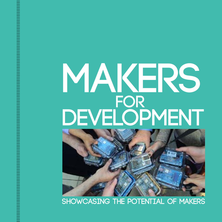# **MAKERS** DEVELOPMENT



**showcasing The potential of MAKERS**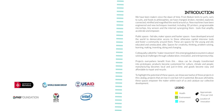### **INTRODUCTion**

We have been makers since the dawn of time. From Beduin tents to yurts, saris to suits, and foods to philosophies, we have changed, broken, mended, explored, connected, minified and magnified the world around us. New machines have been engineered and new techniques invented, including 3D printers, programmable microchips, tiny sensors and the internet synergizing them - tools that amplify, accelerate and empower.

Public spaces - fab labs, maker spaces and hacker spaces - have developed around the world to democratize access to these otherwise capital intensive tools and foster a community around them. These are spaces for the young and old, educated and uneducated, alike. Spaces for creativity, thinking, problem solving, learning, making, inventing, doing and changing.

Colloquially called the "maker movement", this emerging global ecosystem is about solving local challenges through collaboration, innovation, and entrepreneurship.

Projects everywhere benefit from this - ideas can be cheaply transformed into prototypes; products become customized for culture, climate and people; manufacturing becomes local and just-in-time; and goods become easy and affordable to repair and recycle.

To highlight the potential of these spaces, we showcase twelve of these projects in this catalog, projects that are low in cost but rich in potential. Because ultimately, these spaces empower the maker within each of us and catalyze our collective development.



◆ Approximate<br>Price per Unit

**Q** Location of Innovation









**Contract Contract** 

**Contract Contract Contract Contract Contract Contract Contract Contract Contract Contract Contract Contract Contract Contract Contract Contract Contract Contract Contract Contract The Common Contract Contract Contract Contract Contract Contract Contract Contract Contract Contract Contract Contract Contract Contract Contract Contract Contract Contract**  $\mathcal{O}(\mathcal{O}(\log n))$ **Contract Contract Contract Contract** 

**Contract Contract Contract Contract Contract Contract** 

**Contract Contract** 

**Contract Contract Contract Contract Contract Contract** 





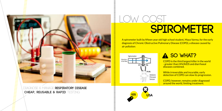Diagnose & manage **respiratory disease Cheap, REusable & Rapid** testing

LOW Cost

# **SPIROMETER**

A spirometer built by fifteen year old high school student, Maya Varma, for the early diagnosis of Chronic Obstructive Pulmonary Disease (COPD), a disease caused by air pollution:



## **A SO WHAT?**

COPD is the third largest killer in the world - greater than HIV/AIDS and diarrhoeal diseases combined.

While irreversible and incurable, early detection of COPD can slow its progression.

COPD, however, remains under diagnosed around the world, limiting treatment.

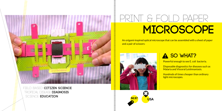

FIELD BASED **CITIZEN SCIENCE**  TROpical DIsease **Diagnosis** Science **Education** 

# **micrOSCOPE**  RINT & FOLD PAPER

An origami-inspired optical microscope that can be assembled with a sheet of paper and a pair of scissors:



==================

**HILLIN** 

## **A SO WHAT?**

Powerful enough to see E. coli bacteria.

Disposable diagnostics for diseases such as Malaria and Visceral Leishmaniasis.

Hundreds of times cheaper than ordinary light microscopes.

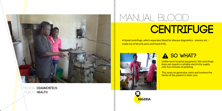

# **CENTRIFUGE**  Manual Blood

A blood centrifuge, which separates blood for disease diagnostics - anemia, etc. made out of bicycle parts and hand drills.



**DE DE LA DE LA DE LA DE LA DEL DE LA DE LA DE LA DE LA DE LA DEFENSA DE LA DEFENSA DE LA DEFENSA DE LA DEFENSA D** 

### **A SO WHAT?**

Unlike most hospital equipment, this centrifuge does not require a reliable electricity supply, only five minutes of pedaling.

This saves on generator costs and involves the family of the patient in their care.

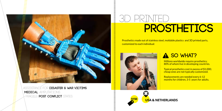

assisstance For **Disaster & War Victims MEDICAL** amputations fragile/ **post conflict** states

# **Prosthetics** 3D Printed

Prosthetics made out of stainless steel, moldable plastics and 3D printed parts, customized to each individual:



лининационално и постояни по постояни по постояни по постояни по постояни по постояни по постояни по постоянии

### **A** SO WHAT?

Millions worldwide require prosthetics; 80% of whom live in developing countries.

Typical prosthetics cost in excess of \$1,000; cheap ones are not typically customized.

Replacements are needed every 6-12 months for children, 3-5 years for adults.

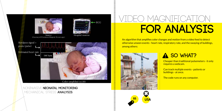



(Courtesy of Winchester Hospital, Do not copy).



NonInvasive **neonatal monitoring** Mechanical stress **analysis** 

# **for Analysis** IDEO MAGNIFICATION

An algorithm that amplifies color changes and motion from a video feed to detect otherwise unseen events - heart rate, respiratory rate, and the swaying of buildings, among others:



## **A SO WHAT?**

**Cheaper than traditional pulsemeters - it only** requires a webcam.

Can track multiple events - patients or buildings - at once.

The code runs on any computer.

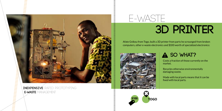٠ **Contract College Contractor Contractor Contractor Contract Contract Contract Contract** ٠



### **Inexpensive** rapid prototyping **e**-**Waste** management

E WASTE

# **3D Printer**

Afate Gnikou from Togo, built a 3D printer from parts he scrounged from broken computers, other e-waste electronics and \$100 worth of specialized electronics:



## **A** SO WHAT?

Costs a fraction of those currently on the market.

Recycles otherwise environmentally damaging waste.

Made with local parts means that it can be fixed with local parts.



**THE SERVICE**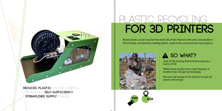

**REduces plastic** on the landfill Increases **self**-**sufficiency STREAMLINES SUPPLY CHAINS** 

# **for 3d Printers**  Plastic recycling

Waste plastic can be recycled into both 3D printer filament (the only consumable in 3D printing) and injection molding pellets, ready to be converted into new projects:



**INTERNATIONAL** 

нининининининининининин

|<br>|<br>|<br>|<br>|<br>|

## **A** SO WHAT?

Cost of 3D printing filament decreases by a factor of 10.

While lower quality than virgin filament, it enables even cheaper prototyping.

Recover the energy in the plastics to save oil, plastic and energy.

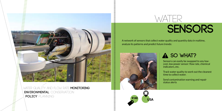

Water quality and flow rate **monitoring Environmental** conservation **POLICY** PLANNING

**Contractor Contract** 



# **SENSORS**

A network of sensors that collect water quality and quantity data in realtime, analyze its patterns and predict future trends:



## **A** SO WHAT?

Sensors can easily be swapped to any lowcost, low power sensor: flow rate, chemical indicators, etc.

Track water quality to work out the cleanest time to collect water.

Send contamination warning and repair status alerts

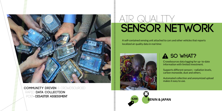

**Community driven** & crowdsourced Rapid **data collectioN** Post- **DIsaster assessment**

# **SENSOR NETWORK**  AIR QUALITY

A self-contained sensing unit attached to cars and other vehicles that reports localized air quality data in real time:



 $\begin{bmatrix} 1 & 0 & 0 \\ 0 & 1 & 0 \\ 0 & 0 & 0 \\ 0 & 0 & 0 \\ 0 & 0 & 0 \\ 0 & 0 & 0 \\ 0 & 0 & 0 & 0 \\ 0 & 0 & 0 & 0 \\ 0 & 0 & 0 & 0 \\ 0 & 0 & 0 & 0 & 0 \\ 0 & 0 & 0 & 0 & 0 \\ 0 & 0 & 0 & 0 & 0 \\ 0 & 0 & 0 & 0 & 0 & 0 \\ 0 & 0 & 0 & 0 & 0 & 0 \\ 0 & 0 & 0 & 0 & 0 & 0 & 0 \\ 0 & 0 & 0 & 0 & 0 & 0 & 0 \\$ 

**Formula** 

### **A** SO WHAT?

Crowdsources data logging for up- to-date information with limited investment.

Supports different sensors - radiation levels, carbon monoxide, dust and others.

Automated collection and anonymized upload makes it easy to use.

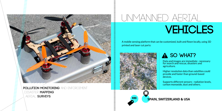

**Pollution monitoring** and enforcement Disaster **MAPPING** aerial **surveys**

## **Vehicles**  unmanned Aerial

A mobile sensing platform that can be customized, built and flown locally, using 3D printed and laser cut parts:



## **A** SO WHAT?

Data and images are immediate - necessary for search and rescue, disasters and agriculture.

Higher resolution data than satellites could provide and faster than ground-based devices.

Supports different sensors - radiation levels, carbon monoxide, dust and others.



================

**\$90 SPAIN, SWITZERLAND & USA** ,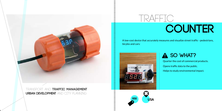inning<br>T



**Urban development** and city planning

## **COUNTER** TRAFFIC

A low-cost device that accurately measures and visualize street traffic - pedestrians, bicyles and cars:



|<br>|<br>|<br>|<br>|<br>|<br>|<br>|<br>|<br><br><br><br><br>

## **A** SO WHAT?

Quarter the cost of commercial products. Opens traffic data to the public. Helps to study environmental impact.

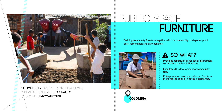**Community** driven urban improvement Revitalising **public spaces** Social **empowerment**

# **FURNITURE** PUBLIC SPACE

Building community furniture together with the community: skateparks, plant pots, soccer goals and park benches:



||<br>|<br>|<br>|<br>|<br>|<br>|<br>|

## **A** SO WHAT?

Provides opportunities for social interaction, social mixing and social inclusion.

Facilitates the development of community ties.

Entrepreneurs can make their own furniture in the fab lab and sell it at the local market.

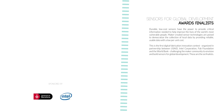### SensorS For Global Development **awards finalists**

**Contract Contract Contract Contract Contract Contract Contract Contract Contract Contract Contract Contract Contract Contract Contract Contract Contract Contract**  $\mathcal{L}^{\text{max}}_{\text{max}}$  and  $\mathcal{L}^{\text{max}}_{\text{max}}$ **Contract Contract Contract Contract Contract Contract Contract Contract Contract Contract Contract Contract Contract Contract Contract Contract Contract Contract Contract Contract Contract Contract Contract Contract Contract Contract Contract Contract**  $\mathcal{L}_{\rm{max}}$  and  $\mathcal{L}_{\rm{max}}$ **Contract Contract Contract Contract Contract Contract** 

 $\mathcal{L}_{\rm{max}}$  and  $\mathcal{L}_{\rm{max}}$ **Contract Contract Contract Contract Contract Contract Contract Contract** 

Durable, low-cost sensors have the power to provide critical information needed to help improve the lives of the world's most vulnerable people. Maker-created sensor technologies are poised to democratize the collection of local data by providing reliable, usable data with a low per-unit cost.

This is the first digital fabrication innovation contest - organized in partnership between USAID, Intel Corporation, Fab Foundation and the World Bank - challenging the maker community to envision and build sensors for global development. These are the six finalists.

Sponsored by

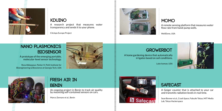

### **KdUINO**

A research project that measures water transparency and sends it to your phone.

Citclops Europe Project

### **Nano PlasmonicS biosensor**

A prototype of the emerging portable, molecular-level sensor technology.

Reza Abbaspour, Parker H. Petit Institute for Bioengineering & Bioscience at Georgia Tech, USA





### **FRESH air IN BENIN**

An ongoing project in Benin to track air quality by mounting self-contained sensors on cars.

Marco Zennaro et al., Benin



### **momo**

A remote sensing platform that measures water flow rate from hand-pump wells.

WellDone, USA

Luke Iseman, USA





A home gardening device that automatically

irrigates based on soil conditions.

 **Growerbot**

### **safecast**

A Geiger counter that is attached to your car and transmits radiation levels in real time.

Sean Bonner et al., Crash Space, Fabcafe Tokyo, MIT Media Lab, Tokyo Hackerspace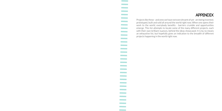### **APPENDIX**

Projects like these - and ones we have not even dreamt of yet - are being invented, prototyped, built and sold all around the world right now. When one opens their work to the world, everybody benefits - barriers crumble and opportunities emerge. This list attempts to locate some of the many different projects, each with their own brilliant nuances, behind the ideas showcased. It is by no means an exhaustive list, but hopefully gives an indication to the breadth of different projects happening in the world right now.

**Contract Contract Contract Contract**  $\sim 10^{11}$  and  $\sim 10^{11}$  $\mathcal{L}^{\text{max}}_{\text{max}}$ **Contract Contract Contract Contract Contract Contract Contract Contract Contract**  $\sim 10^{11}$  m  $^{-1}$ **Contract Contract Contract Contract Contract Contract Contract Contract Contract Contract Contract Contract Contract Contract Contract Contract Contract Contract Contract Contract Contract Contract Contract Contract Contract Contract Contract Contract Contract Contract Contract Contract Contract Contract Contract Contract Contract Contract Contract Contract Contract Contract Contract**  $\sim 10^{11}$  and  $\sim 10^{11}$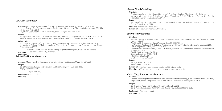#### Low Cost Spirometer

- World Health Organization, *"The top 10 causes of death",* data from 2010 / updated 2014 Citations:
- Primary Care Respiratory Journal, Frederick van Gemert et al., The impact of asthma and COPD in sub-Saharan Africa, 2010
- Maya Varma, San Jose USA, 2014 funded by the CTY Cogito Research Award.

#### Images:

(Left) UW-Madison, University Communications (Bryce Richter), "Designing a Low Cost Spirometer", 2009 (Right) Maya Varma, *"A Novel Wireless Microcontroller-Based Pulmonary Function Analyzer ",* 2014

#### Other Projects:

Knox Medical Diagnostics (Charvi Shetty, Huyson Lam, Noel Jee, Inderjit Jutla), California USA, 2014 University of Wisconsin-Madison (Andrew Dias, Andrew Bremer, Jeremy Schaefer, Jeremy Glynn), Wisconsin USA, 2009

Pressure sensor, Arduino, flexible tubing, 3D printed mouthpiece, Bluetooth and a phone.

Electronics workbench, 3D printer. Materials:

#### Equipment:

#### Print & Fold Paper Microscope

Citations: Manu Prakash et al., Department of Bioengineering at Stanford University USA, 2014

#### Images:

- (Left) Manu Prakash, *"A 50-cent microscope that folds like origami",* TEDGlobal 2012 (Right) Alex Johnson, 2014
	- Paper, Ball lens,
- Equipment: <sup>A paper</sup> printer.
- Materials:

#### Manual Blood Centrifuge

#### Citations:

- Dr. Oluyombo Awojobi, the Manual Haematocrit Centrifuge, Awojobi Clinic Eruwa Nigeria, 2010
- Massachusetts Institute of Technology (K. Kung, T.Moallem, D. A, K. Williams, M. Salinas), the Coriolis
- Haematocrit Centrifuge, Boston USA, 2013

#### Images:

- (Left, Right): PRI, "This Nigerian doctor runs his hospital on corn cobs and used bike parts", Rowan Moore Gerety, Eruwa Nigeria, 2014
- Materials: Scrap bicycle parts, table.
- Equipment: Metal working area (with welding.)

#### 3D Printed Prosthetics

#### Citations:

- Stanford University, Maurice LeBlanc, *"Give Hope Give a Hand The LN-4 Prosthetic Hand",* data from 2008 / presentation 2011
- World Health Organization, *"World Report on Disability 2011",* 2011
- The American Academy of Orthotists & Prosthetists, Erin Strait, *"Prosthetics in Developing Countries"*, 2006 Haitian Amputee Coalition, Ivan R. Sable, 2010
- University of Buffalo, New York (Kurichi JE, Bates BE, Stineman MG), *"Amputation International Encyclopedia*
- *of Rehabilitation"*, 2010 E-nable, South Africa & USA, 2014
- Robohand, Australia & USA, 2014
- Talon Hand 2.0, USA, 2014
- Oxy Hand RP 1.0, USA, 2014

#### Images:

- (Left) Jen Owen, RIT, 2014
- (Right) 3ders.com, 2014
- Equipment: Stainless steel, moldable plastics and 3D printed parts.
- Materials: A 3D printer, camera, metal working area, trained prosthetist.

#### Video Magnification for Analysis

#### Citations:

Eulerian Video Magnification at the Massachusetts Institute of Technology (Hao-Yu Wu, Michael Rubinstein, Eugene Shih, John Guttag, Frédo Durand and William T. Freeman), Cambridge USA, 2012

#### Images:

- (Left): Euliarn Video Magnification, MIT, Cambridge USA, 2012
- (Left): Peri, Administration Building Central Bank of Nigeria, Lagos Nigeria, 2012
- Equipment: Webcam, computer.
- Materials: ---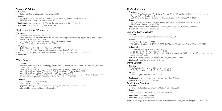#### E-waste 3D Printer

#### Citations:

Kodjo Afate Gnikou at Woelab in Loma, Togo, 2013

#### Images:

(Left) FranceSoir, Victor Lefebvre, *"Woelab, des décharges togolaises à la planète Mars",* 2013 (Right) http://greenbuildingelements.com/, 2013

Equipment: Scrap metal parts, \$100 worth in electronics (an Arduino + others.)

Materials: Flectronics working area, screwdriver.

#### Plastic recycling for 3D printers

#### Citations:

- Filastruder by Tim Elmore, Florida USA, 2013
- The Cambridge-MIT Institute at the University of Cambridge, *"The Improving Engineering Education (ImpEE)*
- *Project: Recycling of Plastics"*, 2005
- Container Recycling Institute, Pat Franklin, *"Down the drain"*, 2006
- Petco, PET plastic recycling South Africa, 2014

#### Images:

- (Left): Filabot by Tyler McNaney, Vermont USA, 2010
- (Right): Malte Ahrens, *"Plastic collectors in Soweto on Sea, South Africa",* 2014
- Equipment: Scrap plastic (cleaned and shredded) and for good quality prints: virgin ABS beads Materials: -

#### Water Sensors

#### Citations:

- Massachusetts Institute of Technology (Malte Ahrens, Jonathan Garcia, Alberto Mulero, Shinjini Saha),
- Cambridge USA, 2014
- Momo by WellDone, California USA, 2014 currently deploying prototypes in Tanzania
- World Health Organization, *"Guidelines for Safe Drinking Water Fourth Edition",* 2011
- World Health Organization, *"Indicators of microbial water quality",* 2001
- Epidemiology, John M. Colford, Jr. et al., *"Water Quality Indicators and the Risk of Illness at Beaches with Nonpoint Sources of Fecal Contamination",* Volume 18, Number 1, January 2007

#### Images:

- (Left): Elisabet Diaz Sanmartin, 2014 (Right): WellDone, 2014
- Equipment: PVC (or other waterproof enclosure), Arduino, water sensors, GSM radio.
- Materials: Electronics working area, laser cutter.

#### Air Quality Sensor

#### Citations:

- Safecast, Sean Bonner et al., Crash Space, Fabcafe Tokyo, MIT Media Lab, Tokyo Hackerspace, 2014
- Fresh Air in Benin, Benin, 2014
- CLAIRITY: An Air Quality Network for MIT's Campus by MIT, Cambridge USA, 2014

#### Images:

- (Left): Safecast (Pieter Franken, Sean Bonner and Dan Sythe), Washington DC USA, 2014 (Right): Marco Zennaro, Benin, 2014
- Materials: Some plastic weatherproof enclosure, Arduino, air quality sensors, GSM radio.
- Equipment: Electronics working area.

#### Unmanned Aerial Vehicles

- Citations:
- SenseFly by Parrot, Cheseaux-Lausanne Switzerland, 2009

#### Images:

(Left): Flone by Aeracoop, 2013 (Right):United Nations - UNITAR/UNOSAT, *"UAV Survey of Gran Ravine, Port Au Prince, Haiti",* 2012

#### Other Projects:

- Flone by AeraCoop, Barcelona Spain, 2013
- Sulsa by the University of Southampton, UK, 2011
- VAST AUAV (Variable AirSpeed Telescoping Additive Unmanned Air Vehicle) by the MIT Lincoln Laboratory, Cambridge USA, 2013
- Materials: Motors, propellers, flight electronics (radios, Arduino, etc.)
- Equipment: Laser cutter, general workshop.

#### Traffic Counter

#### Citations:

WayCount by Tomorrow Lab LLC, New York USA, 2012 Traffic Tally 2 by Diamond Traffic, Oregon USA, 2010

#### Images:

- (Left and Right): Tomorrow Lab LLC, 2012
- Equipment: Pressure sensor, plastic tubing, plastic box, Arduino
- Materials: Electronics working area.

#### Public Space Furniture

#### Citations:

Insitu by Blokcad Lab and uAbureau, Medellin, Colombia, 2011

#### Images:

- (Left and Right ): Fabio Lopez, Medellin Columbia, 2011
- Equipment: Concrete, Plywood.
- Materials: Wood working area.

Front Cover Image - Safecast (Pieter Franken, Sean Bonner and Dan Sythe), Washington DC USA, 2014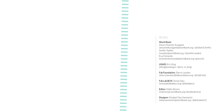#### PEOPLE.

**Contract Contract Contract Contract Contract Contract Contract Contract Contract Contract Contract Contract Contract Contract Contract Contract Contract Contract**  $\mathcal{L}^{\text{max}}_{\text{max}}$  and  $\mathcal{L}^{\text{max}}_{\text{max}}$ **Contract Contract Contract Contract Contract Contract Contract Contract Contract Contract Contract Contract Contract Contract Contract Contract Contract Contract Contract Contract Contract Contract Contract Contract Contract Contract Contract Contract Contract Contract Contract Contract Contract Contract Contract Contract Contract Contract Contract Contract Contract Contract Contract Contract Contract Contract** 

#### World Bank:

Arturo Muente-Kunigami (amuentekunigami@worldbank.org / @n0wh3r3m4n) Samhir Vasdev (svasdev@worldbank.org / @samhirvasdev) Eva Clemente (eclementemiranda@worldbank.org/ @eevich)

USAID: Eric King (eking@usaid.gov / @eric\_m\_king)

Fab Foundation: Sherry Lassiter (sherry.lassiter@fabfoundation.org / @FabFndn)

Fab Lab BCN: Tomás Díez (tomas@fablabbcn.org/ @fablabbcn)

Editor: Malte Ahrens (mahrens@ worldbank.org/ @malteahrens)

Designer: Elisabet Diaz Sanmartin (ediazsanmartin@worldbank.org / @delisabet21)